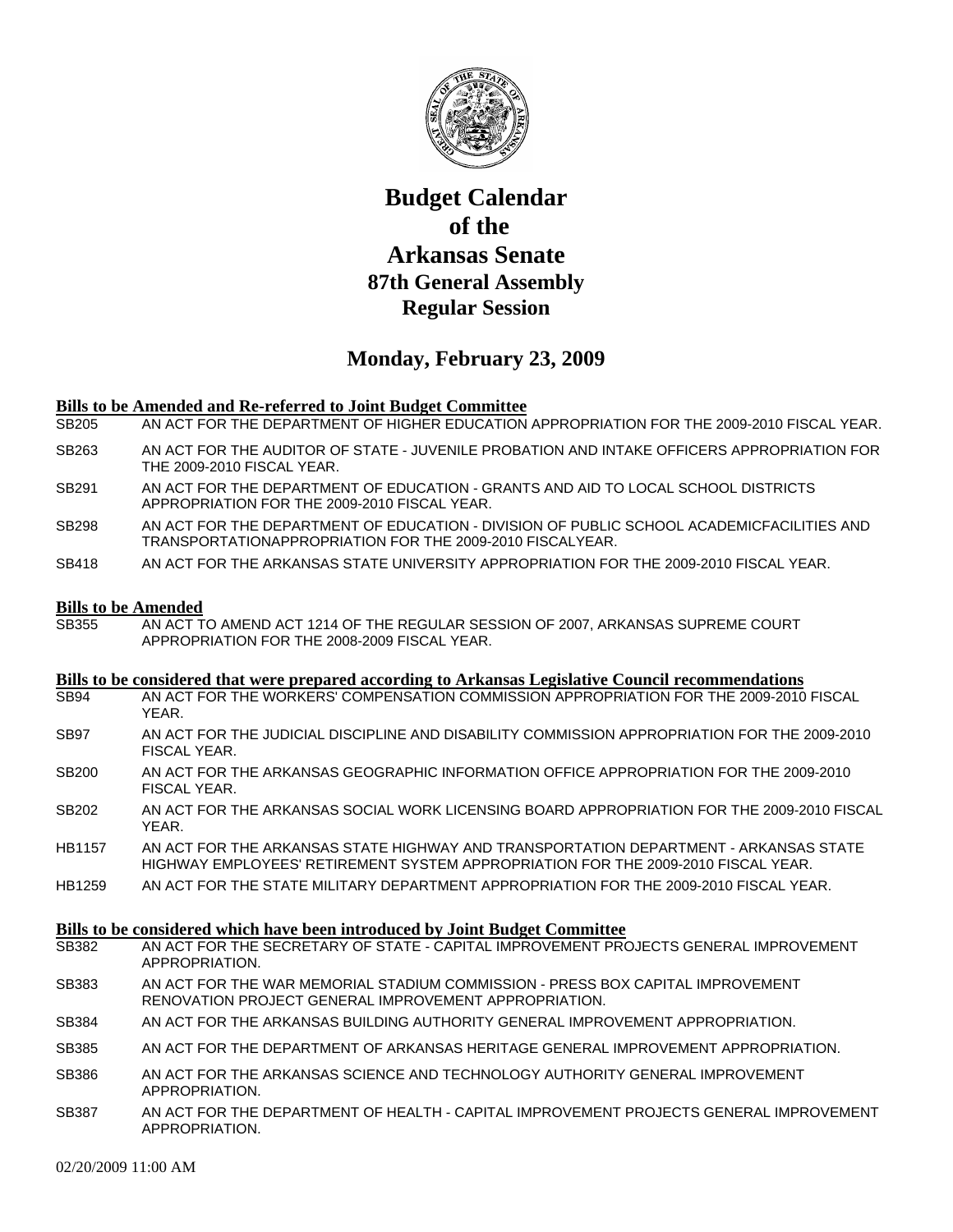

# **Budget Calendar of the Arkansas Senate 87th General Assembly Regular Session**

## **Monday, February 23, 2009**

### **Bills to be Amended and Re-referred to Joint Budget Committee**

- SB205 AN ACT FOR THE DEPARTMENT OF HIGHER EDUCATION APPROPRIATION FOR THE 2009-2010 FISCAL YEAR.
- SB263 AN ACT FOR THE AUDITOR OF STATE JUVENILE PROBATION AND INTAKE OFFICERS APPROPRIATION FOR THE 2009-2010 FISCAL YEAR.
- SB291 AN ACT FOR THE DEPARTMENT OF EDUCATION GRANTS AND AID TO LOCAL SCHOOL DISTRICTS APPROPRIATION FOR THE 2009-2010 FISCAL YEAR.
- SB298 AN ACT FOR THE DEPARTMENT OF EDUCATION DIVISION OF PUBLIC SCHOOL ACADEMICFACILITIES AND TRANSPORTATIONAPPROPRIATION FOR THE 2009-2010 FISCALYEAR.
- SB418 AN ACT FOR THE ARKANSAS STATE UNIVERSITY APPROPRIATION FOR THE 2009-2010 FISCAL YEAR.

#### **Bills to be Amended**

SB355 AN ACT TO AMEND ACT 1214 OF THE REGULAR SESSION OF 2007, ARKANSAS SUPREME COURT APPROPRIATION FOR THE 2008-2009 FISCAL YEAR.

#### **Bills to be considered that were prepared according to Arkansas Legislative Council recommendations**

- SB94 AN ACT FOR THE WORKERS' COMPENSATION COMMISSION APPROPRIATION FOR THE 2009-2010 FISCAL YEAR.
- SB97 AN ACT FOR THE JUDICIAL DISCIPLINE AND DISABILITY COMMISSION APPROPRIATION FOR THE 2009-2010 FISCAL YEAR.
- SB200 AN ACT FOR THE ARKANSAS GEOGRAPHIC INFORMATION OFFICE APPROPRIATION FOR THE 2009-2010 FISCAL YEAR.
- SB202 AN ACT FOR THE ARKANSAS SOCIAL WORK LICENSING BOARD APPROPRIATION FOR THE 2009-2010 FISCAL YEAR.
- HB1157 AN ACT FOR THE ARKANSAS STATE HIGHWAY AND TRANSPORTATION DEPARTMENT ARKANSAS STATE HIGHWAY EMPLOYEES' RETIREMENT SYSTEM APPROPRIATION FOR THE 2009-2010 FISCAL YEAR.
- HB1259 AN ACT FOR THE STATE MILITARY DEPARTMENT APPROPRIATION FOR THE 2009-2010 FISCAL YEAR.

#### **Bills to be considered which have been introduced by Joint Budget Committee**

- SB382 AN ACT FOR THE SECRETARY OF STATE CAPITAL IMPROVEMENT PROJECTS GENERAL IMPROVEMENT APPROPRIATION.
- SB383 AN ACT FOR THE WAR MEMORIAL STADIUM COMMISSION PRESS BOX CAPITAL IMPROVEMENT RENOVATION PROJECT GENERAL IMPROVEMENT APPROPRIATION.
- SB384 AN ACT FOR THE ARKANSAS BUILDING AUTHORITY GENERAL IMPROVEMENT APPROPRIATION.
- SB385 AN ACT FOR THE DEPARTMENT OF ARKANSAS HERITAGE GENERAL IMPROVEMENT APPROPRIATION.
- SB386 AN ACT FOR THE ARKANSAS SCIENCE AND TECHNOLOGY AUTHORITY GENERAL IMPROVEMENT APPROPRIATION.
- SB387 AN ACT FOR THE DEPARTMENT OF HEALTH CAPITAL IMPROVEMENT PROJECTS GENERAL IMPROVEMENT APPROPRIATION.